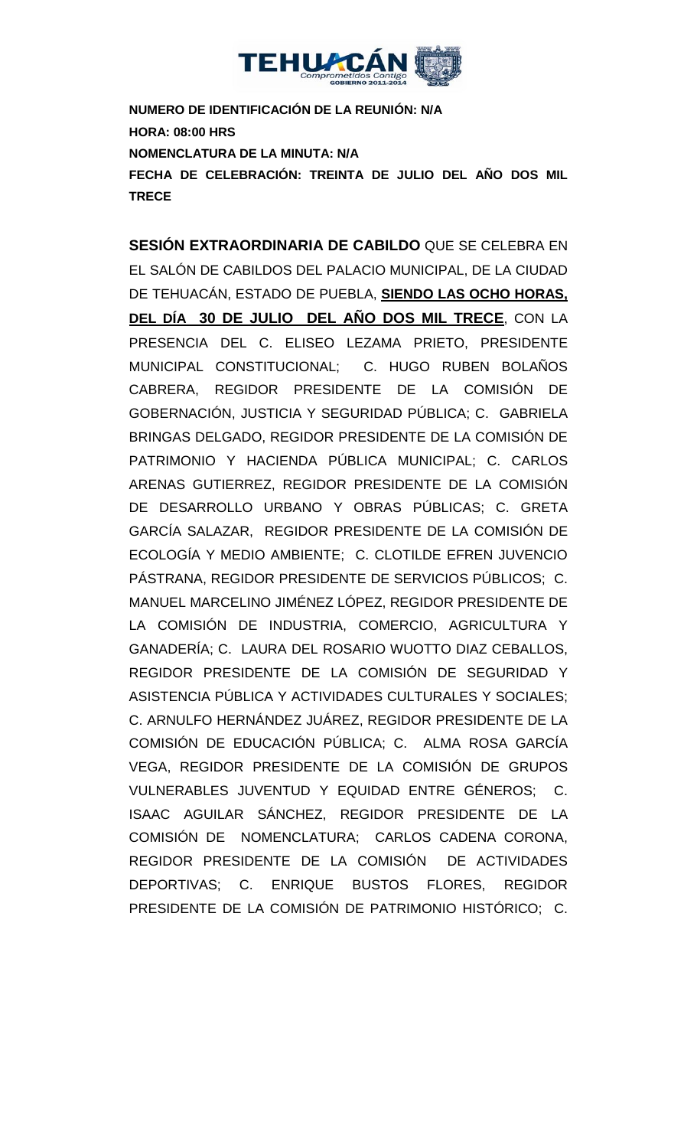

**NUMERO DE IDENTIFICACIÓN DE LA REUNIÓN: N/A HORA: 08:00 HRS NOMENCLATURA DE LA MINUTA: N/A FECHA DE CELEBRACIÓN: TREINTA DE JULIO DEL AÑO DOS MIL TRECE** 

**SESIÓN EXTRAORDINARIA DE CABILDO** QUE SE CELEBRA EN EL SALÓN DE CABILDOS DEL PALACIO MUNICIPAL, DE LA CIUDAD DE TEHUACÁN, ESTADO DE PUEBLA, **SIENDO LAS OCHO HORAS, DEL DÍA 30 DE JULIO DEL AÑO DOS MIL TRECE**, CON LA PRESENCIA DEL C. ELISEO LEZAMA PRIETO, PRESIDENTE MUNICIPAL CONSTITUCIONAL; C. HUGO RUBEN BOLAÑOS CABRERA, REGIDOR PRESIDENTE DE LA COMISIÓN DE GOBERNACIÓN, JUSTICIA Y SEGURIDAD PÚBLICA; C. GABRIELA BRINGAS DELGADO, REGIDOR PRESIDENTE DE LA COMISIÓN DE PATRIMONIO Y HACIENDA PÚBLICA MUNICIPAL; C. CARLOS ARENAS GUTIERREZ, REGIDOR PRESIDENTE DE LA COMISIÓN DE DESARROLLO URBANO Y OBRAS PÚBLICAS; C. GRETA GARCÍA SALAZAR, REGIDOR PRESIDENTE DE LA COMISIÓN DE ECOLOGÍA Y MEDIO AMBIENTE; C. CLOTILDE EFREN JUVENCIO PÁSTRANA, REGIDOR PRESIDENTE DE SERVICIOS PÚBLICOS; C. MANUEL MARCELINO JIMÉNEZ LÓPEZ, REGIDOR PRESIDENTE DE LA COMISIÓN DE INDUSTRIA, COMERCIO, AGRICULTURA Y GANADERÍA; C. LAURA DEL ROSARIO WUOTTO DIAZ CEBALLOS, REGIDOR PRESIDENTE DE LA COMISIÓN DE SEGURIDAD Y ASISTENCIA PÚBLICA Y ACTIVIDADES CULTURALES Y SOCIALES; C. ARNULFO HERNÁNDEZ JUÁREZ, REGIDOR PRESIDENTE DE LA COMISIÓN DE EDUCACIÓN PÚBLICA; C. ALMA ROSA GARCÍA VEGA, REGIDOR PRESIDENTE DE LA COMISIÓN DE GRUPOS VULNERABLES JUVENTUD Y EQUIDAD ENTRE GÉNEROS; C. ISAAC AGUILAR SÁNCHEZ, REGIDOR PRESIDENTE DE LA COMISIÓN DE NOMENCLATURA; CARLOS CADENA CORONA, REGIDOR PRESIDENTE DE LA COMISIÓN DE ACTIVIDADES DEPORTIVAS; C. ENRIQUE BUSTOS FLORES, REGIDOR PRESIDENTE DE LA COMISIÓN DE PATRIMONIO HISTÓRICO; C.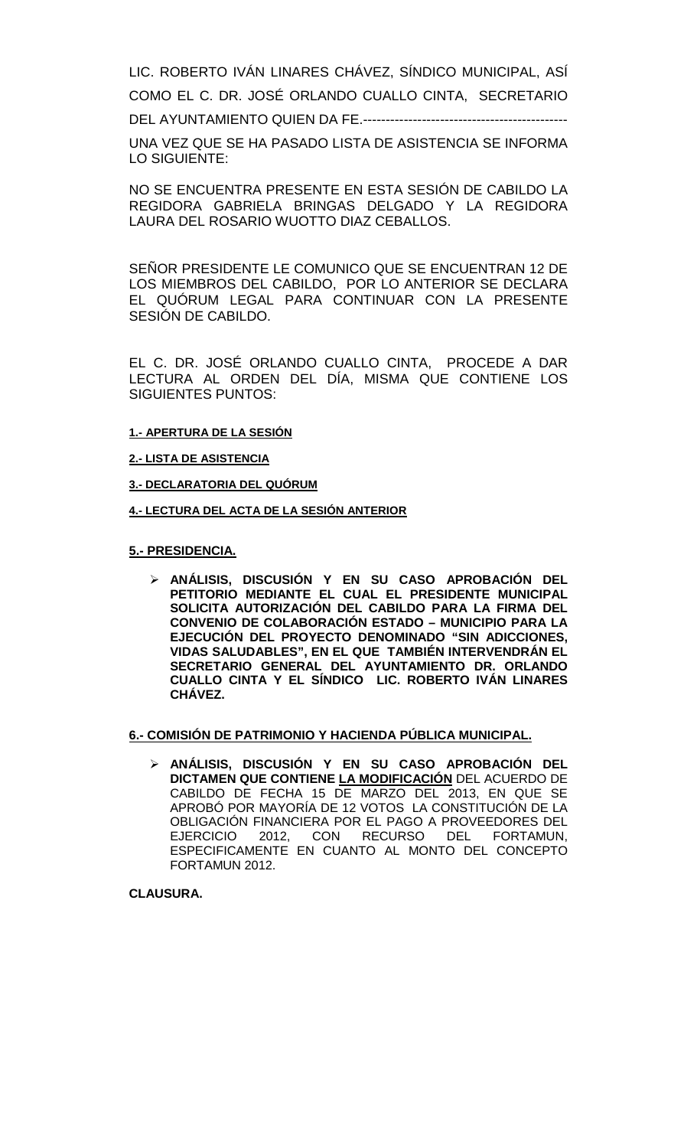LIC. ROBERTO IVÁN LINARES CHÁVEZ, SÍNDICO MUNICIPAL, ASÍ

COMO EL C. DR. JOSÉ ORLANDO CUALLO CINTA, SECRETARIO

DEL AYUNTAMIENTO QUIEN DA FE.---------------------------------------------

UNA VEZ QUE SE HA PASADO LISTA DE ASISTENCIA SE INFORMA LO SIGUIENTE:

NO SE ENCUENTRA PRESENTE EN ESTA SESIÓN DE CABILDO LA REGIDORA GABRIELA BRINGAS DELGADO Y LA REGIDORA LAURA DEL ROSARIO WUOTTO DIAZ CEBALLOS.

SEÑOR PRESIDENTE LE COMUNICO QUE SE ENCUENTRAN 12 DE LOS MIEMBROS DEL CABILDO, POR LO ANTERIOR SE DECLARA EL QUÓRUM LEGAL PARA CONTINUAR CON LA PRESENTE SESIÓN DE CABILDO.

EL C. DR. JOSÉ ORLANDO CUALLO CINTA, PROCEDE A DAR LECTURA AL ORDEN DEL DÍA, MISMA QUE CONTIENE LOS SIGUIENTES PUNTOS:

#### **1.- APERTURA DE LA SESIÓN**

**2.- LISTA DE ASISTENCIA**

**3.- DECLARATORIA DEL QUÓRUM**

**4.- LECTURA DEL ACTA DE LA SESIÓN ANTERIOR** 

#### **5.- PRESIDENCIA.**

 **ANÁLISIS, DISCUSIÓN Y EN SU CASO APROBACIÓN DEL PETITORIO MEDIANTE EL CUAL EL PRESIDENTE MUNICIPAL SOLICITA AUTORIZACIÓN DEL CABILDO PARA LA FIRMA DEL CONVENIO DE COLABORACIÓN ESTADO – MUNICIPIO PARA LA EJECUCIÓN DEL PROYECTO DENOMINADO "SIN ADICCIONES, VIDAS SALUDABLES", EN EL QUE TAMBIÉN INTERVENDRÁN EL SECRETARIO GENERAL DEL AYUNTAMIENTO DR. ORLANDO CUALLO CINTA Y EL SÍNDICO LIC. ROBERTO IVÁN LINARES CHÁVEZ.**

#### **6.- COMISIÓN DE PATRIMONIO Y HACIENDA PÚBLICA MUNICIPAL.**

 **ANÁLISIS, DISCUSIÓN Y EN SU CASO APROBACIÓN DEL DICTAMEN QUE CONTIENE LA MODIFICACIÓN** DEL ACUERDO DE CABILDO DE FECHA 15 DE MARZO DEL 2013, EN QUE SE APROBÓ POR MAYORÍA DE 12 VOTOS LA CONSTITUCIÓN DE LA OBLIGACIÓN FINANCIERA POR EL PAGO A PROVEEDORES DEL EJERCICIO 2012, CON RECURSO DEL FORTAMUN, ESPECIFICAMENTE EN CUANTO AL MONTO DEL CONCEPTO FORTAMUN 2012.

### **CLAUSURA.**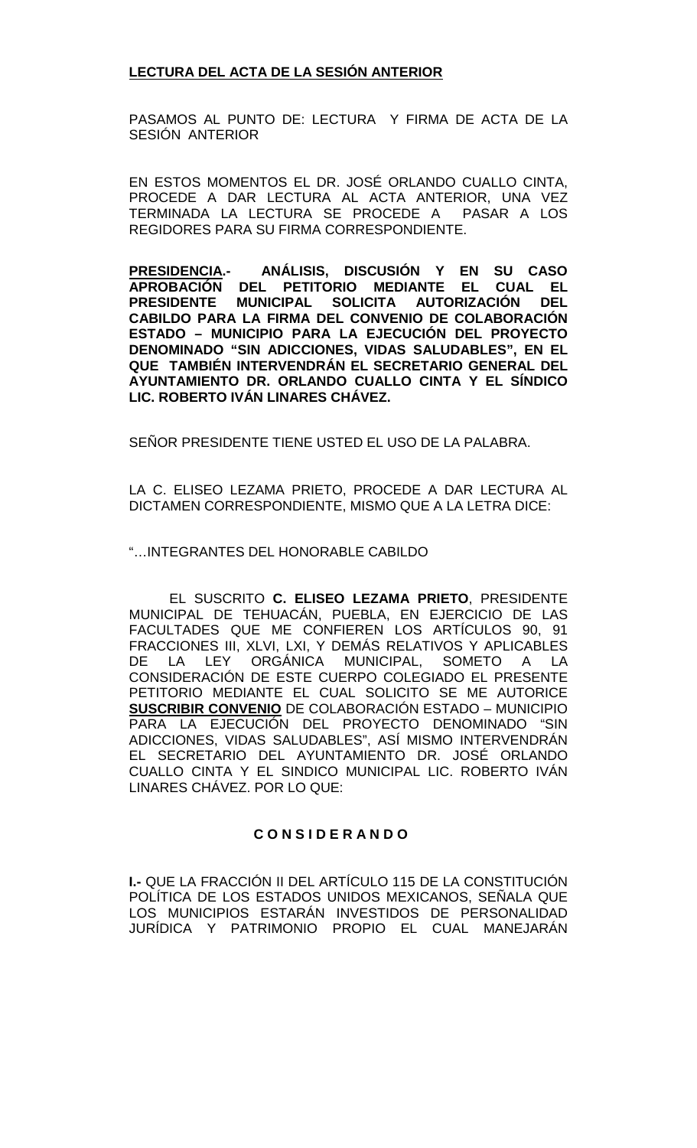## **LECTURA DEL ACTA DE LA SESIÓN ANTERIOR**

PASAMOS AL PUNTO DE: LECTURA Y FIRMA DE ACTA DE LA SESIÓN ANTERIOR

EN ESTOS MOMENTOS EL DR. JOSÉ ORLANDO CUALLO CINTA, PROCEDE A DAR LECTURA AL ACTA ANTERIOR, UNA VEZ TERMINADA LA LECTURA SE PROCEDE A PASAR A LOS REGIDORES PARA SU FIRMA CORRESPONDIENTE.

**PRESIDENCIA.- ANÁLISIS, DISCUSIÓN Y EN SU CASO APROBACIÓN DEL PETITORIO MEDIANTE EL CUAL EL PRESIDENTE MUNICIPAL SOLICITA AUTORIZACIÓN CABILDO PARA LA FIRMA DEL CONVENIO DE COLABORACIÓN ESTADO – MUNICIPIO PARA LA EJECUCIÓN DEL PROYECTO DENOMINADO "SIN ADICCIONES, VIDAS SALUDABLES", EN EL QUE TAMBIÉN INTERVENDRÁN EL SECRETARIO GENERAL DEL AYUNTAMIENTO DR. ORLANDO CUALLO CINTA Y EL SÍNDICO LIC. ROBERTO IVÁN LINARES CHÁVEZ.**

SEÑOR PRESIDENTE TIENE USTED EL USO DE LA PALABRA.

LA C. ELISEO LEZAMA PRIETO, PROCEDE A DAR LECTURA AL DICTAMEN CORRESPONDIENTE, MISMO QUE A LA LETRA DICE:

"…INTEGRANTES DEL HONORABLE CABILDO

EL SUSCRITO **C. ELISEO LEZAMA PRIETO**, PRESIDENTE MUNICIPAL DE TEHUACÁN, PUEBLA, EN EJERCICIO DE LAS FACULTADES QUE ME CONFIEREN LOS ARTÍCULOS 90, 91 FRACCIONES III, XLVI, LXI, Y DEMÁS RELATIVOS Y APLICABLES DE LA LEY ORGÁNICA MUNICIPAL, SOMETO A LA CONSIDERACIÓN DE ESTE CUERPO COLEGIADO EL PRESENTE PETITORIO MEDIANTE EL CUAL SOLICITO SE ME AUTORICE **SUSCRIBIR CONVENIO** DE COLABORACIÓN ESTADO – MUNICIPIO PARA LA EJECUCIÓN DEL PROYECTO DENOMINADO "SIN ADICCIONES, VIDAS SALUDABLES", ASÍ MISMO INTERVENDRÁN EL SECRETARIO DEL AYUNTAMIENTO DR. JOSÉ ORLANDO CUALLO CINTA Y EL SINDICO MUNICIPAL LIC. ROBERTO IVÁN LINARES CHÁVEZ. POR LO QUE:

## **C O N S I D E R A N D O**

**I.-** QUE LA FRACCIÓN II DEL ARTÍCULO 115 DE LA CONSTITUCIÓN POLÍTICA DE LOS ESTADOS UNIDOS MEXICANOS, SEÑALA QUE LOS MUNICIPIOS ESTARÁN INVESTIDOS DE PERSONALIDAD JURÍDICA Y PATRIMONIO PROPIO EL CUAL MANEJARÁN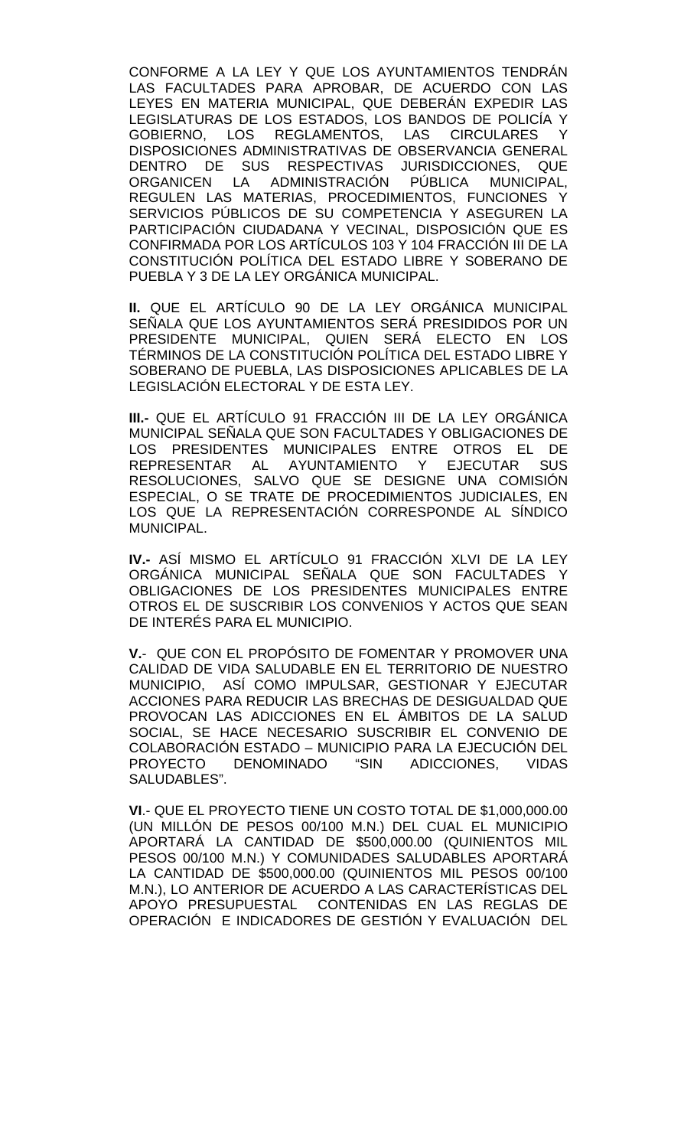CONFORME A LA LEY Y QUE LOS AYUNTAMIENTOS TENDRÁN LAS FACULTADES PARA APROBAR, DE ACUERDO CON LAS LEYES EN MATERIA MUNICIPAL, QUE DEBERÁN EXPEDIR LAS LEGISLATURAS DE LOS ESTADOS, LOS BANDOS DE POLICÍA Y GOBIERNO, LOS REGLAMENTOS, LAS CIRCULARES Y DISPOSICIONES ADMINISTRATIVAS DE OBSERVANCIA GENERAL DENTRO DE SUS RESPECTIVAS JURISDICCIONES, QUE ORGANICEN LA ADMINISTRACIÓN PÚBLICA MUNICIPAL, REGULEN LAS MATERIAS, PROCEDIMIENTOS, FUNCIONES Y SERVICIOS PÚBLICOS DE SU COMPETENCIA Y ASEGUREN LA PARTICIPACIÓN CIUDADANA Y VECINAL, DISPOSICIÓN QUE ES CONFIRMADA POR LOS ARTÍCULOS 103 Y 104 FRACCIÓN III DE LA CONSTITUCIÓN POLÍTICA DEL ESTADO LIBRE Y SOBERANO DE PUEBLA Y 3 DE LA LEY ORGÁNICA MUNICIPAL.

**II.** QUE EL ARTÍCULO 90 DE LA LEY ORGÁNICA MUNICIPAL SEÑALA QUE LOS AYUNTAMIENTOS SERÁ PRESIDIDOS POR UN PRESIDENTE MUNICIPAL, QUIEN SERÁ ELECTO EN LOS TÉRMINOS DE LA CONSTITUCIÓN POLÍTICA DEL ESTADO LIBRE Y SOBERANO DE PUEBLA, LAS DISPOSICIONES APLICABLES DE LA LEGISLACIÓN ELECTORAL Y DE ESTA LEY.

**III.-** QUE EL ARTÍCULO 91 FRACCIÓN III DE LA LEY ORGÁNICA MUNICIPAL SEÑALA QUE SON FACULTADES Y OBLIGACIONES DE LOS PRESIDENTES MUNICIPALES ENTRE OTROS EL DE REPRESENTAR AL AYUNTAMIENTO Y EJECUTAR SUS RESOLUCIONES, SALVO QUE SE DESIGNE UNA COMISIÓN ESPECIAL, O SE TRATE DE PROCEDIMIENTOS JUDICIALES, EN LOS QUE LA REPRESENTACIÓN CORRESPONDE AL SÍNDICO MUNICIPAL.

**IV.-** ASÍ MISMO EL ARTÍCULO 91 FRACCIÓN XLVI DE LA LEY ORGÁNICA MUNICIPAL SEÑALA QUE SON FACULTADES Y OBLIGACIONES DE LOS PRESIDENTES MUNICIPALES ENTRE OTROS EL DE SUSCRIBIR LOS CONVENIOS Y ACTOS QUE SEAN DE INTERÉS PARA EL MUNICIPIO.

**V.**- QUE CON EL PROPÓSITO DE FOMENTAR Y PROMOVER UNA CALIDAD DE VIDA SALUDABLE EN EL TERRITORIO DE NUESTRO MUNICIPIO, ASÍ COMO IMPULSAR, GESTIONAR Y EJECUTAR ACCIONES PARA REDUCIR LAS BRECHAS DE DESIGUALDAD QUE PROVOCAN LAS ADICCIONES EN EL ÁMBITOS DE LA SALUD SOCIAL, SE HACE NECESARIO SUSCRIBIR EL CONVENIO DE COLABORACIÓN ESTADO – MUNICIPIO PARA LA EJECUCIÓN DEL PROYECTO DENOMINADO "SIN ADICCIONES, VIDAS SALUDABLES".

**VI**.- QUE EL PROYECTO TIENE UN COSTO TOTAL DE \$1,000,000.00 (UN MILLÓN DE PESOS 00/100 M.N.) DEL CUAL EL MUNICIPIO APORTARÁ LA CANTIDAD DE \$500,000.00 (QUINIENTOS MIL PESOS 00/100 M.N.) Y COMUNIDADES SALUDABLES APORTARÁ LA CANTIDAD DE \$500,000.00 (QUINIENTOS MIL PESOS 00/100 M.N.), LO ANTERIOR DE ACUERDO A LAS CARACTERÍSTICAS DEL APOYO PRESUPUESTAL CONTENIDAS EN LAS REGLAS DE OPERACIÓN E INDICADORES DE GESTIÓN Y EVALUACIÓN DEL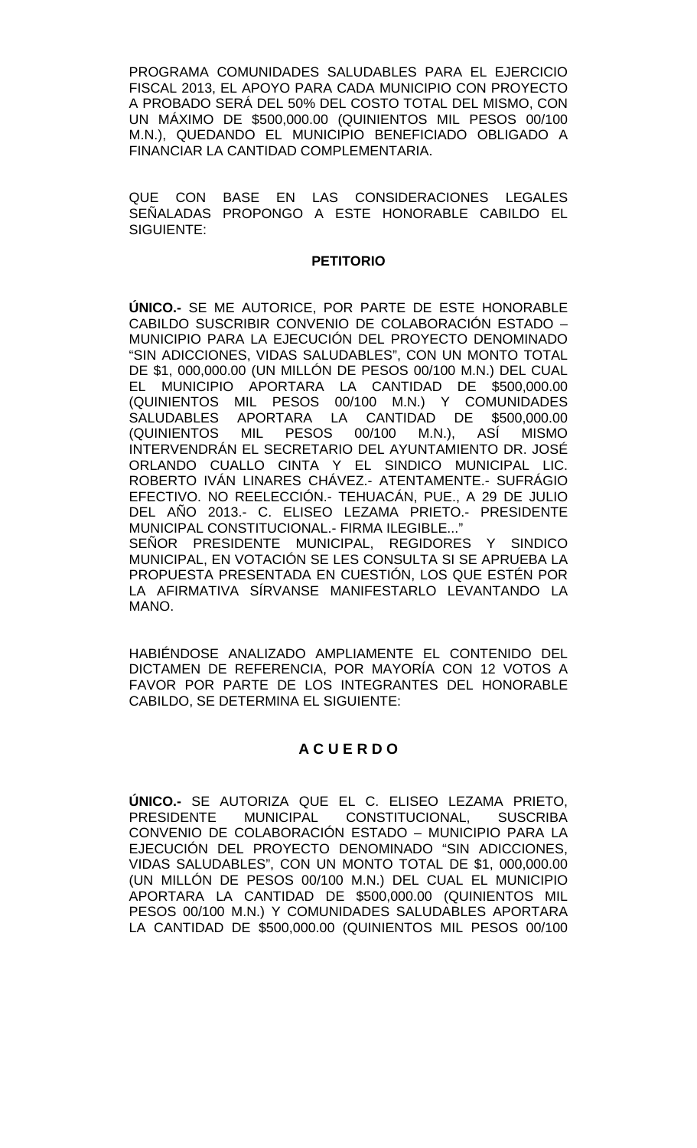PROGRAMA COMUNIDADES SALUDABLES PARA EL EJERCICIO FISCAL 2013, EL APOYO PARA CADA MUNICIPIO CON PROYECTO A PROBADO SERÁ DEL 50% DEL COSTO TOTAL DEL MISMO, CON UN MÁXIMO DE \$500,000.00 (QUINIENTOS MIL PESOS 00/100 M.N.), QUEDANDO EL MUNICIPIO BENEFICIADO OBLIGADO A FINANCIAR LA CANTIDAD COMPLEMENTARIA.

QUE CON BASE EN LAS CONSIDERACIONES LEGALES SEÑALADAS PROPONGO A ESTE HONORABLE CABILDO EL SIGUIENTE:

#### **PETITORIO**

**ÚNICO.-** SE ME AUTORICE, POR PARTE DE ESTE HONORABLE CABILDO SUSCRIBIR CONVENIO DE COLABORACIÓN ESTADO – MUNICIPIO PARA LA EJECUCIÓN DEL PROYECTO DENOMINADO "SIN ADICCIONES, VIDAS SALUDABLES", CON UN MONTO TOTAL DE \$1, 000,000.00 (UN MILLÓN DE PESOS 00/100 M.N.) DEL CUAL EL MUNICIPIO APORTARA LA CANTIDAD DE \$500,000.00 (QUINIENTOS MIL PESOS 00/100 M.N.) Y COMUNIDADES SALUDABLES APORTARA LA CANTIDAD DE \$500,000.00 (QUINIENTOS MIL PESOS 00/100 M.N.), ASÍ MISMO INTERVENDRÁN EL SECRETARIO DEL AYUNTAMIENTO DR. JOSÉ ORLANDO CUALLO CINTA Y EL SINDICO MUNICIPAL LIC. ROBERTO IVÁN LINARES CHÁVEZ.- ATENTAMENTE.- SUFRÁGIO EFECTIVO. NO REELECCIÓN.- TEHUACÁN, PUE., A 29 DE JULIO DEL AÑO 2013.- C. ELISEO LEZAMA PRIETO.- PRESIDENTE MUNICIPAL CONSTITUCIONAL.- FIRMA ILEGIBLE..." SEÑOR PRESIDENTE MUNICIPAL, REGIDORES Y SINDICO MUNICIPAL, EN VOTACIÓN SE LES CONSULTA SI SE APRUEBA LA PROPUESTA PRESENTADA EN CUESTIÓN, LOS QUE ESTÉN POR

HABIÉNDOSE ANALIZADO AMPLIAMENTE EL CONTENIDO DEL DICTAMEN DE REFERENCIA, POR MAYORÍA CON 12 VOTOS A FAVOR POR PARTE DE LOS INTEGRANTES DEL HONORABLE

LA AFIRMATIVA SÍRVANSE MANIFESTARLO LEVANTANDO LA

MANO.

## **A C U E R D O**

CABILDO, SE DETERMINA EL SIGUIENTE:

**ÚNICO.-** SE AUTORIZA QUE EL C. ELISEO LEZAMA PRIETO, MUNICIPAL CONSTITUCIONAL, SUSCRIBA CONVENIO DE COLABORACIÓN ESTADO – MUNICIPIO PARA LA EJECUCIÓN DEL PROYECTO DENOMINADO "SIN ADICCIONES, VIDAS SALUDABLES", CON UN MONTO TOTAL DE \$1, 000,000.00 (UN MILLÓN DE PESOS 00/100 M.N.) DEL CUAL EL MUNICIPIO APORTARA LA CANTIDAD DE \$500,000.00 (QUINIENTOS MIL PESOS 00/100 M.N.) Y COMUNIDADES SALUDABLES APORTARA LA CANTIDAD DE \$500,000.00 (QUINIENTOS MIL PESOS 00/100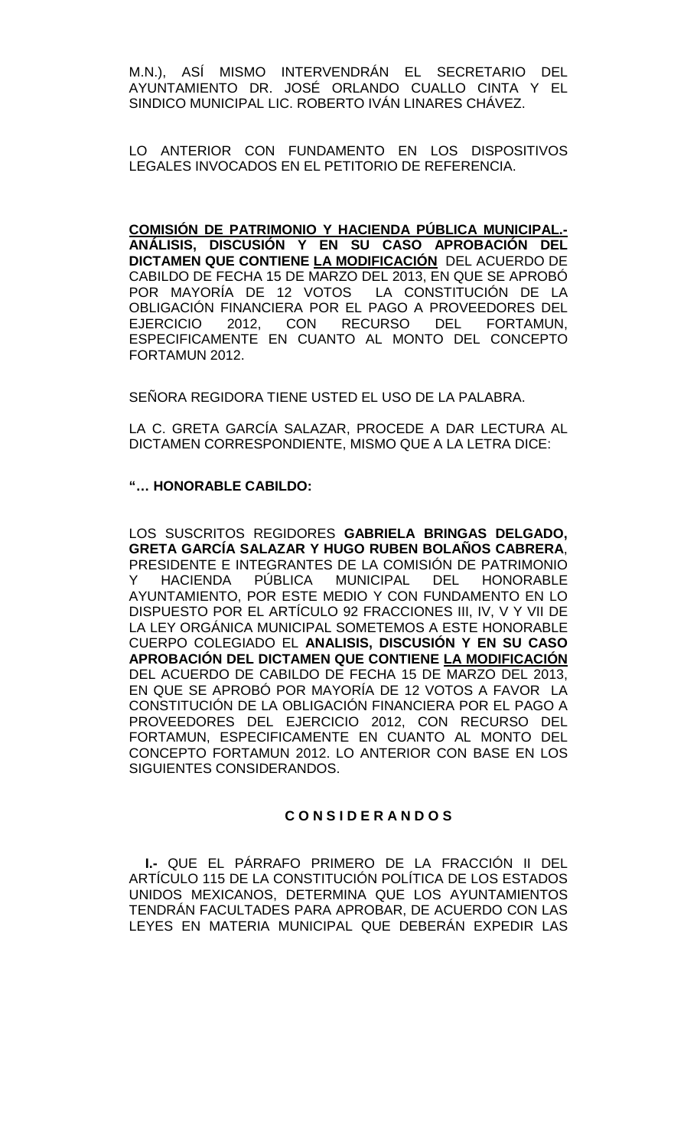M.N.), ASÍ MISMO INTERVENDRÁN EL SECRETARIO DEL AYUNTAMIENTO DR. JOSÉ ORLANDO CUALLO CINTA Y EL SINDICO MUNICIPAL LIC. ROBERTO IVÁN LINARES CHÁVEZ.

LO ANTERIOR CON FUNDAMENTO EN LOS DISPOSITIVOS LEGALES INVOCADOS EN EL PETITORIO DE REFERENCIA.

**COMISIÓN DE PATRIMONIO Y HACIENDA PÚBLICA MUNICIPAL.- ANÁLISIS, DISCUSIÓN Y EN SU CASO APROBACIÓN DEL DICTAMEN QUE CONTIENE LA MODIFICACIÓN** DEL ACUERDO DE CABILDO DE FECHA 15 DE MARZO DEL 2013, EN QUE SE APROBÓ POR MAYORÍA DE 12 VOTOS LA CONSTITUCIÓN DE LA OBLIGACIÓN FINANCIERA POR EL PAGO A PROVEEDORES DEL EJERCICIO 2012, CON RECURSO DEL FORTAMUN, ESPECIFICAMENTE EN CUANTO AL MONTO DEL CONCEPTO FORTAMUN 2012.

SEÑORA REGIDORA TIENE USTED EL USO DE LA PALABRA.

LA C. GRETA GARCÍA SALAZAR, PROCEDE A DAR LECTURA AL DICTAMEN CORRESPONDIENTE, MISMO QUE A LA LETRA DICE:

## **"… HONORABLE CABILDO:**

LOS SUSCRITOS REGIDORES **GABRIELA BRINGAS DELGADO, GRETA GARCÍA SALAZAR Y HUGO RUBEN BOLAÑOS CABRERA**, PRESIDENTE E INTEGRANTES DE LA COMISIÓN DE PATRIMONIO Y HACIENDA PÚBLICA MUNICIPAL DEL HONORABLE AYUNTAMIENTO, POR ESTE MEDIO Y CON FUNDAMENTO EN LO DISPUESTO POR EL ARTÍCULO 92 FRACCIONES III, IV, V Y VII DE LA LEY ORGÁNICA MUNICIPAL SOMETEMOS A ESTE HONORABLE CUERPO COLEGIADO EL **ANALISIS, DISCUSIÓN Y EN SU CASO APROBACIÓN DEL DICTAMEN QUE CONTIENE LA MODIFICACIÓN**  DEL ACUERDO DE CABILDO DE FECHA 15 DE MARZO DEL 2013, EN QUE SE APROBÓ POR MAYORÍA DE 12 VOTOS A FAVOR LA CONSTITUCIÓN DE LA OBLIGACIÓN FINANCIERA POR EL PAGO A PROVEEDORES DEL EJERCICIO 2012, CON RECURSO DEL FORTAMUN, ESPECIFICAMENTE EN CUANTO AL MONTO DEL CONCEPTO FORTAMUN 2012. LO ANTERIOR CON BASE EN LOS SIGUIENTES CONSIDERANDOS.

#### **C O N S I D E R A N D O S**

**I.-** QUE EL PÁRRAFO PRIMERO DE LA FRACCIÓN II DEL ARTÍCULO 115 DE LA CONSTITUCIÓN POLÍTICA DE LOS ESTADOS UNIDOS MEXICANOS, DETERMINA QUE LOS AYUNTAMIENTOS TENDRÁN FACULTADES PARA APROBAR, DE ACUERDO CON LAS LEYES EN MATERIA MUNICIPAL QUE DEBERÁN EXPEDIR LAS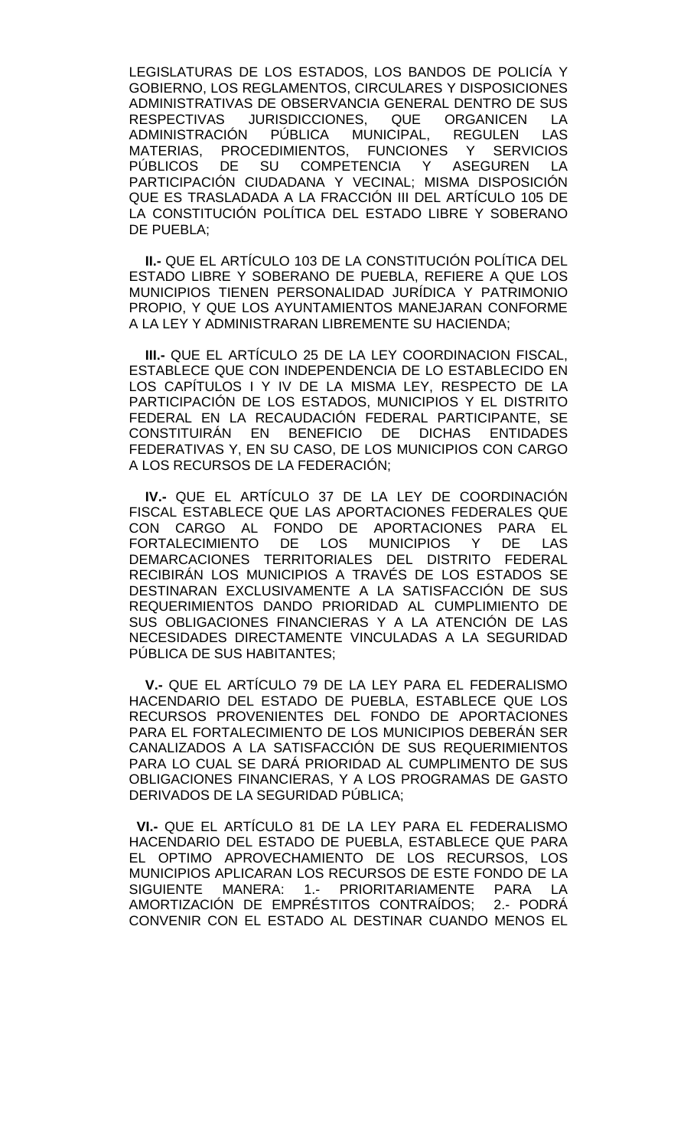LEGISLATURAS DE LOS ESTADOS, LOS BANDOS DE POLICÍA Y GOBIERNO, LOS REGLAMENTOS, CIRCULARES Y DISPOSICIONES ADMINISTRATIVAS DE OBSERVANCIA GENERAL DENTRO DE SUS<br>RESPECTIVAS JURISDICCIONES, QUE ORGANICEN LA URISDICCIONES, QUE ORGANICEN LA<br>N PÚBLICA MUNICIPAL. REGULEN LAS ADMINISTRACIÓN PÚBLICA MUNICIPAL, MATERIAS, PROCEDIMIENTOS, FUNCIONES Y SERVICIOS<br>PÚBLICOS DE SU COMPETENCIA Y ASEGUREN LA DE SU COMPETENCIA Y ASEGUREN PARTICIPACIÓN CIUDADANA Y VECINAL; MISMA DISPOSICIÓN QUE ES TRASLADADA A LA FRACCIÓN III DEL ARTÍCULO 105 DE LA CONSTITUCIÓN POLÍTICA DEL ESTADO LIBRE Y SOBERANO DE PUEBLA;

**II.-** QUE EL ARTÍCULO 103 DE LA CONSTITUCIÓN POLÍTICA DEL ESTADO LIBRE Y SOBERANO DE PUEBLA, REFIERE A QUE LOS MUNICIPIOS TIENEN PERSONALIDAD JURÍDICA Y PATRIMONIO PROPIO, Y QUE LOS AYUNTAMIENTOS MANEJARAN CONFORME A LA LEY Y ADMINISTRARAN LIBREMENTE SU HACIENDA;

**III.-** QUE EL ARTÍCULO 25 DE LA LEY COORDINACION FISCAL, ESTABLECE QUE CON INDEPENDENCIA DE LO ESTABLECIDO EN LOS CAPÍTULOS I Y IV DE LA MISMA LEY, RESPECTO DE LA PARTICIPACIÓN DE LOS ESTADOS, MUNICIPIOS Y EL DISTRITO FEDERAL EN LA RECAUDACIÓN FEDERAL PARTICIPANTE, SE CONSTITUIRÁN EN BENEFICIO DE DICHAS ENTIDADES FEDERATIVAS Y, EN SU CASO, DE LOS MUNICIPIOS CON CARGO A LOS RECURSOS DE LA FEDERACIÓN;

**IV.-** QUE EL ARTÍCULO 37 DE LA LEY DE COORDINACIÓN FISCAL ESTABLECE QUE LAS APORTACIONES FEDERALES QUE CON CARGO AL FONDO DE APORTACIONES PARA EL<br>FORTALECIMIENTO DE LOS MUNICIPIOS Y DE LAS FORTALECIMIENTO DE LOS MUNICIPIOS Y DE LAS DEMARCACIONES TERRITORIALES DEL DISTRITO FEDERAL RECIBIRÁN LOS MUNICIPIOS A TRAVÉS DE LOS ESTADOS SE DESTINARAN EXCLUSIVAMENTE A LA SATISFACCIÓN DE SUS REQUERIMIENTOS DANDO PRIORIDAD AL CUMPLIMIENTO DE SUS OBLIGACIONES FINANCIERAS Y A LA ATENCIÓN DE LAS NECESIDADES DIRECTAMENTE VINCULADAS A LA SEGURIDAD PÚBLICA DE SUS HABITANTES;

**V.-** QUE EL ARTÍCULO 79 DE LA LEY PARA EL FEDERALISMO HACENDARIO DEL ESTADO DE PUEBLA, ESTABLECE QUE LOS RECURSOS PROVENIENTES DEL FONDO DE APORTACIONES PARA EL FORTALECIMIENTO DE LOS MUNICIPIOS DEBERÁN SER CANALIZADOS A LA SATISFACCIÓN DE SUS REQUERIMIENTOS PARA LO CUAL SE DARÁ PRIORIDAD AL CUMPLIMENTO DE SUS OBLIGACIONES FINANCIERAS, Y A LOS PROGRAMAS DE GASTO DERIVADOS DE LA SEGURIDAD PÚBLICA;

 **VI.-** QUE EL ARTÍCULO 81 DE LA LEY PARA EL FEDERALISMO HACENDARIO DEL ESTADO DE PUEBLA, ESTABLECE QUE PARA EL OPTIMO APROVECHAMIENTO DE LOS RECURSOS, LOS MUNICIPIOS APLICARAN LOS RECURSOS DE ESTE FONDO DE LA SIGUIENTE MANERA: 1.- PRIORITARIAMENTE PARA LA AMORTIZACIÓN DE EMPRÉSTITOS CONTRAÍDOS; 2.- PODRÁ CONVENIR CON EL ESTADO AL DESTINAR CUANDO MENOS EL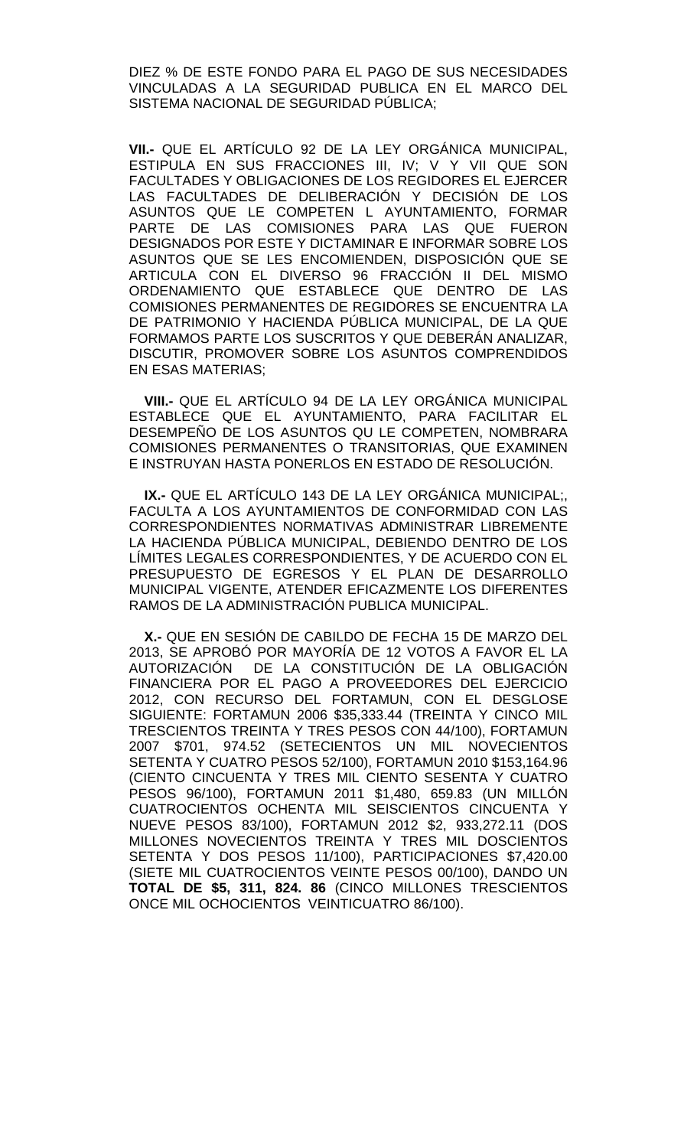DIEZ % DE ESTE FONDO PARA EL PAGO DE SUS NECESIDADES VINCULADAS A LA SEGURIDAD PUBLICA EN EL MARCO DEL SISTEMA NACIONAL DE SEGURIDAD PÚBLICA;

**VII.-** QUE EL ARTÍCULO 92 DE LA LEY ORGÁNICA MUNICIPAL, ESTIPULA EN SUS FRACCIONES III, IV; V Y VII QUE SON FACULTADES Y OBLIGACIONES DE LOS REGIDORES EL EJERCER LAS FACULTADES DE DELIBERACIÓN Y DECISIÓN DE LOS ASUNTOS QUE LE COMPETEN L AYUNTAMIENTO, FORMAR PARTE DE LAS COMISIONES PARA LAS QUE FUERON DESIGNADOS POR ESTE Y DICTAMINAR E INFORMAR SOBRE LOS ASUNTOS QUE SE LES ENCOMIENDEN, DISPOSICIÓN QUE SE ARTICULA CON EL DIVERSO 96 FRACCIÓN II DEL MISMO ORDENAMIENTO QUE ESTABLECE QUE DENTRO DE LAS COMISIONES PERMANENTES DE REGIDORES SE ENCUENTRA LA DE PATRIMONIO Y HACIENDA PÚBLICA MUNICIPAL, DE LA QUE FORMAMOS PARTE LOS SUSCRITOS Y QUE DEBERÁN ANALIZAR, DISCUTIR, PROMOVER SOBRE LOS ASUNTOS COMPRENDIDOS EN ESAS MATERIAS;

 **VIII.-** QUE EL ARTÍCULO 94 DE LA LEY ORGÁNICA MUNICIPAL ESTABLECE QUE EL AYUNTAMIENTO, PARA FACILITAR EL DESEMPEÑO DE LOS ASUNTOS QU LE COMPETEN, NOMBRARA COMISIONES PERMANENTES O TRANSITORIAS, QUE EXAMINEN E INSTRUYAN HASTA PONERLOS EN ESTADO DE RESOLUCIÓN.

 **IX.-** QUE EL ARTÍCULO 143 DE LA LEY ORGÁNICA MUNICIPAL;, FACULTA A LOS AYUNTAMIENTOS DE CONFORMIDAD CON LAS CORRESPONDIENTES NORMATIVAS ADMINISTRAR LIBREMENTE LA HACIENDA PÚBLICA MUNICIPAL, DEBIENDO DENTRO DE LOS LÍMITES LEGALES CORRESPONDIENTES, Y DE ACUERDO CON EL PRESUPUESTO DE EGRESOS Y EL PLAN DE DESARROLLO MUNICIPAL VIGENTE, ATENDER EFICAZMENTE LOS DIFERENTES RAMOS DE LA ADMINISTRACIÓN PUBLICA MUNICIPAL.

 **X.-** QUE EN SESIÓN DE CABILDO DE FECHA 15 DE MARZO DEL 2013, SE APROBÓ POR MAYORÍA DE 12 VOTOS A FAVOR EL LA<br>AUTORIZACIÓN DE LA CONSTITUCIÓN DE LA OBLIGACIÓN DE LA CONSTITUCIÓN DE LA OBLIGACIÓN FINANCIERA POR EL PAGO A PROVEEDORES DEL EJERCICIO 2012, CON RECURSO DEL FORTAMUN, CON EL DESGLOSE SIGUIENTE: FORTAMUN 2006 \$35,333.44 (TREINTA Y CINCO MIL TRESCIENTOS TREINTA Y TRES PESOS CON 44/100), FORTAMUN 2007 \$701, 974.52 (SETECIENTOS UN MIL NOVECIENTOS SETENTA Y CUATRO PESOS 52/100), FORTAMUN 2010 \$153,164.96 (CIENTO CINCUENTA Y TRES MIL CIENTO SESENTA Y CUATRO PESOS 96/100), FORTAMUN 2011 \$1,480, 659.83 (UN MILLÓN CUATROCIENTOS OCHENTA MIL SEISCIENTOS CINCUENTA Y NUEVE PESOS 83/100), FORTAMUN 2012 \$2, 933,272.11 (DOS MILLONES NOVECIENTOS TREINTA Y TRES MIL DOSCIENTOS SETENTA Y DOS PESOS 11/100), PARTICIPACIONES \$7,420.00 (SIETE MIL CUATROCIENTOS VEINTE PESOS 00/100), DANDO UN **TOTAL DE \$5, 311, 824. 86** (CINCO MILLONES TRESCIENTOS ONCE MIL OCHOCIENTOS VEINTICUATRO 86/100).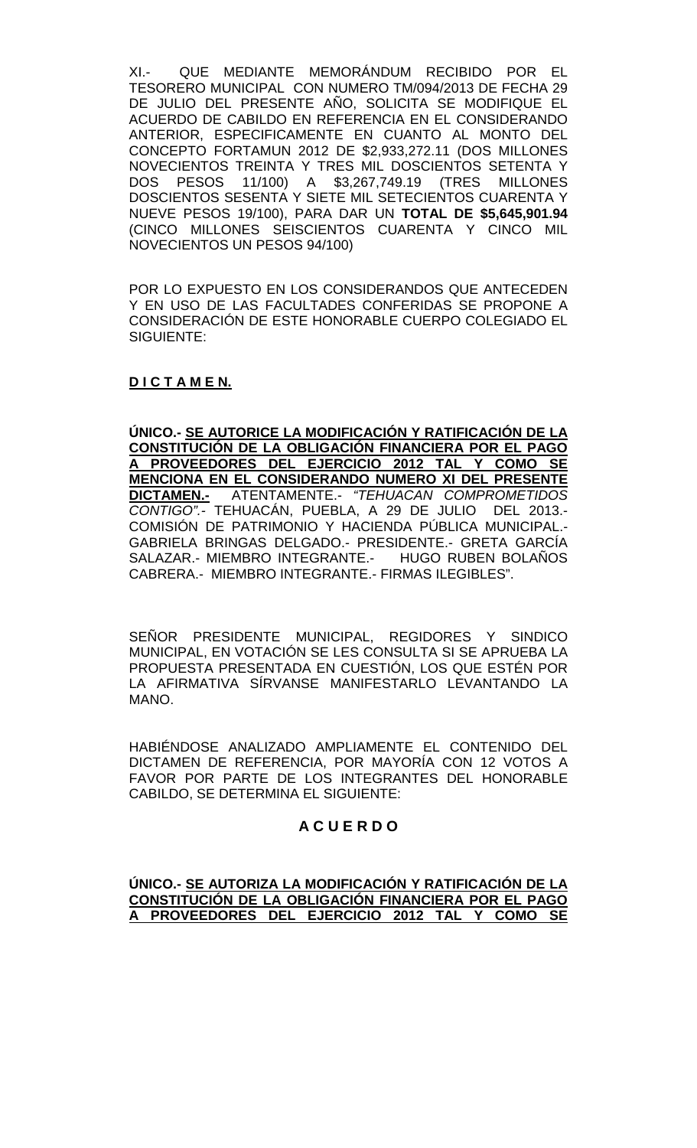XI.- QUE MEDIANTE MEMORÁNDUM RECIBIDO POR EL TESORERO MUNICIPAL CON NUMERO TM/094/2013 DE FECHA 29 DE JULIO DEL PRESENTE AÑO, SOLICITA SE MODIFIQUE EL ACUERDO DE CABILDO EN REFERENCIA EN EL CONSIDERANDO ANTERIOR, ESPECIFICAMENTE EN CUANTO AL MONTO DEL CONCEPTO FORTAMUN 2012 DE \$2,933,272.11 (DOS MILLONES NOVECIENTOS TREINTA Y TRES MIL DOSCIENTOS SETENTA Y DOS PESOS 11/100) A \$3,267,749.19 (TRES MILLONES DOSCIENTOS SESENTA Y SIETE MIL SETECIENTOS CUARENTA Y NUEVE PESOS 19/100), PARA DAR UN **TOTAL DE \$5,645,901.94** (CINCO MILLONES SEISCIENTOS CUARENTA Y CINCO MIL NOVECIENTOS UN PESOS 94/100)

POR LO EXPUESTO EN LOS CONSIDERANDOS QUE ANTECEDEN Y EN USO DE LAS FACULTADES CONFERIDAS SE PROPONE A CONSIDERACIÓN DE ESTE HONORABLE CUERPO COLEGIADO EL SIGUIENTE:

# **D I C T A M E N.**

**ÚNICO.- SE AUTORICE LA MODIFICACIÓN Y RATIFICACIÓN DE LA CONSTITUCIÓN DE LA OBLIGACIÓN FINANCIERA POR EL PAGO A PROVEEDORES DEL EJERCICIO 2012 TAL Y COMO SE MENCIONA EN EL CONSIDERANDO NUMERO XI DEL PRESENTE DICTAMEN.-** ATENTAMENTE.- *"TEHUACAN COMPROMETIDOS CONTIGO".-* TEHUACÁN, PUEBLA, A 29 DE JULIO DEL 2013.- COMISIÓN DE PATRIMONIO Y HACIENDA PÚBLICA MUNICIPAL.- GABRIELA BRINGAS DELGADO.- PRESIDENTE.- GRETA GARCÍA SALAZAR.- MIEMBRO INTEGRANTE.- HUGO RUBEN BOLAÑOS CABRERA.- MIEMBRO INTEGRANTE.- FIRMAS ILEGIBLES".

SEÑOR PRESIDENTE MUNICIPAL, REGIDORES Y SINDICO MUNICIPAL, EN VOTACIÓN SE LES CONSULTA SI SE APRUEBA LA PROPUESTA PRESENTADA EN CUESTIÓN, LOS QUE ESTÉN POR LA AFIRMATIVA SÍRVANSE MANIFESTARLO LEVANTANDO LA MANO.

HABIÉNDOSE ANALIZADO AMPLIAMENTE EL CONTENIDO DEL DICTAMEN DE REFERENCIA, POR MAYORÍA CON 12 VOTOS A FAVOR POR PARTE DE LOS INTEGRANTES DEL HONORABLE CABILDO, SE DETERMINA EL SIGUIENTE:

## **A C U E R D O**

## **ÚNICO.- SE AUTORIZA LA MODIFICACIÓN Y RATIFICACIÓN DE LA CONSTITUCIÓN DE LA OBLIGACIÓN FINANCIERA POR EL PAGO A PROVEEDORES DEL EJERCICIO 2012 TAL Y COMO SE**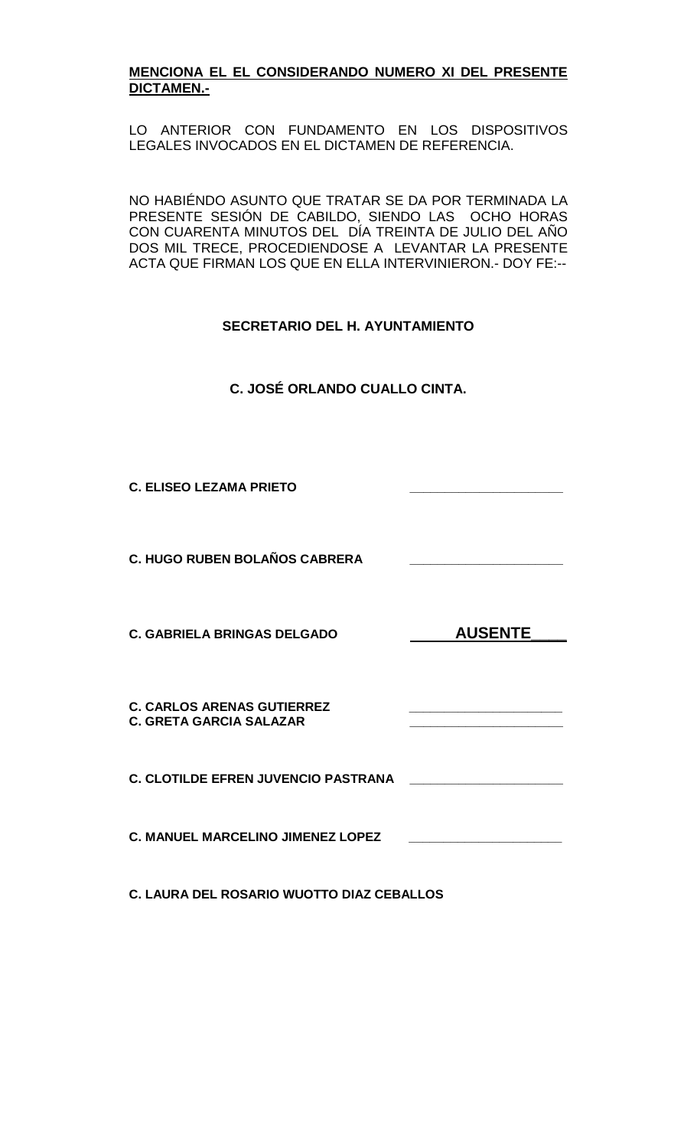## **MENCIONA EL EL CONSIDERANDO NUMERO XI DEL PRESENTE DICTAMEN.-**

LO ANTERIOR CON FUNDAMENTO EN LOS DISPOSITIVOS LEGALES INVOCADOS EN EL DICTAMEN DE REFERENCIA.

NO HABIÉNDO ASUNTO QUE TRATAR SE DA POR TERMINADA LA PRESENTE SESIÓN DE CABILDO, SIENDO LAS OCHO HORAS CON CUARENTA MINUTOS DEL DÍA TREINTA DE JULIO DEL AÑO DOS MIL TRECE, PROCEDIENDOSE A LEVANTAR LA PRESENTE ACTA QUE FIRMAN LOS QUE EN ELLA INTERVINIERON.- DOY FE:--

# **SECRETARIO DEL H. AYUNTAMIENTO**

**C. JOSÉ ORLANDO CUALLO CINTA.**

**C. ELISEO LEZAMA PRIETO \_\_\_\_\_\_\_\_\_\_\_\_\_\_\_\_\_\_\_\_\_\_**

**C. HUGO RUBEN BOLAÑOS CABRERA \_\_\_\_\_\_\_\_\_\_\_\_\_\_\_\_\_\_\_\_\_\_**

**C. GABRIELA BRINGAS DELGADO AUSENTE** 

**C. CARLOS ARENAS GUTIERREZ \_\_\_\_\_\_\_\_\_\_\_\_\_\_\_\_\_\_\_\_\_\_ C. GRETA GARCIA SALAZAR \_\_\_\_\_\_\_\_\_\_\_\_\_\_\_\_\_\_\_\_\_\_**

**C. CLOTILDE EFREN JUVENCIO PASTRANA \_\_\_\_\_\_\_\_\_\_\_\_\_\_\_\_\_\_\_\_\_\_**

**C. MANUEL MARCELINO JIMENEZ LOPEZ \_\_\_\_\_\_\_\_\_\_\_\_\_\_\_\_\_\_\_\_\_\_**

**C. LAURA DEL ROSARIO WUOTTO DIAZ CEBALLOS**